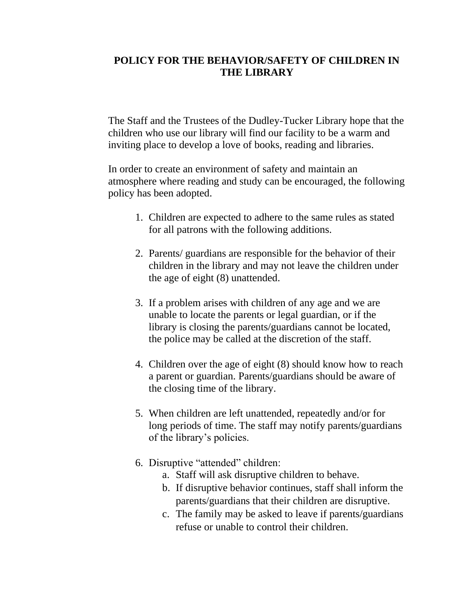## **POLICY FOR THE BEHAVIOR/SAFETY OF CHILDREN IN THE LIBRARY**

The Staff and the Trustees of the Dudley-Tucker Library hope that the children who use our library will find our facility to be a warm and inviting place to develop a love of books, reading and libraries.

In order to create an environment of safety and maintain an atmosphere where reading and study can be encouraged, the following policy has been adopted.

- 1. Children are expected to adhere to the same rules as stated for all patrons with the following additions.
- 2. Parents/ guardians are responsible for the behavior of their children in the library and may not leave the children under the age of eight (8) unattended.
- 3. If a problem arises with children of any age and we are unable to locate the parents or legal guardian, or if the library is closing the parents/guardians cannot be located, the police may be called at the discretion of the staff.
- 4. Children over the age of eight (8) should know how to reach a parent or guardian. Parents/guardians should be aware of the closing time of the library.
- 5. When children are left unattended, repeatedly and/or for long periods of time. The staff may notify parents/guardians of the library's policies.
- 6. Disruptive "attended" children:
	- a. Staff will ask disruptive children to behave.
	- b. If disruptive behavior continues, staff shall inform the parents/guardians that their children are disruptive.
	- c. The family may be asked to leave if parents/guardians refuse or unable to control their children.